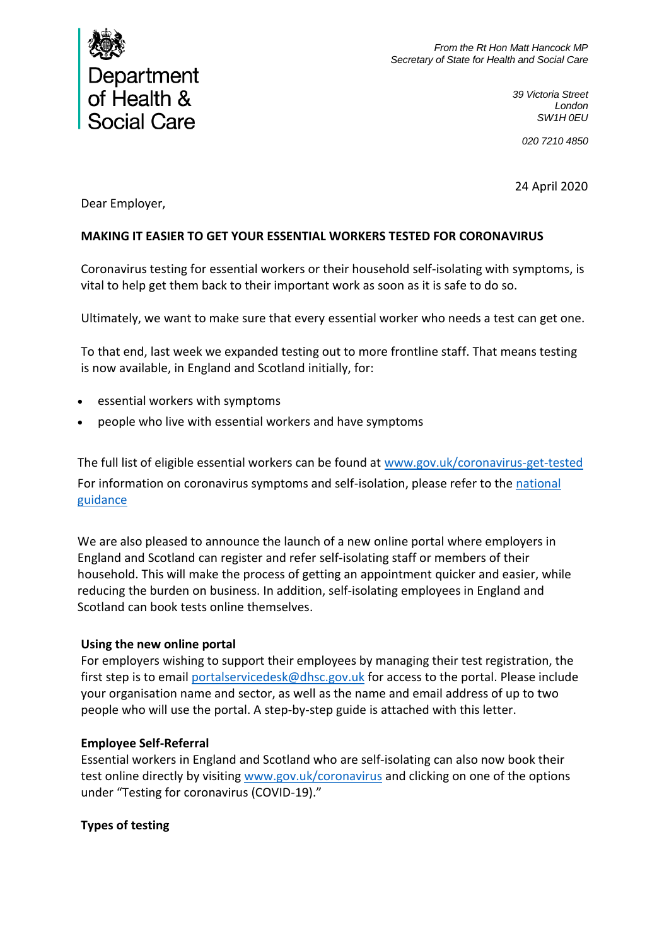

*39 Victoria Street London SW1H 0EU*

*020 7210 4850*

24 April 2020

Dear Employer,

## **MAKING IT EASIER TO GET YOUR ESSENTIAL WORKERS TESTED FOR CORONAVIRUS**

Coronavirus testing for essential workers or their household self-isolating with symptoms, is vital to help get them back to their important work as soon as it is safe to do so.

Ultimately, we want to make sure that every essential worker who needs a test can get one.

To that end, last week we expanded testing out to more frontline staff. That means testing is now available, in England and Scotland initially, for:

- essential workers with symptoms
- people who live with essential workers and have symptoms

The full list of eligible essential workers can be found at [www.gov.uk/coronavirus-get-tested](http://www.gov.uk/coronavirus-get-tested) For information on coronavirus symptoms and self-isolation, please refer to the [national](http://www.gov.uk/government/publications/covid-19-stay-at-home-guidance/stay-at-home-guidance-for-households-with-possible-coronavirus-covid-19-infection)  [guidance](http://www.gov.uk/government/publications/covid-19-stay-at-home-guidance/stay-at-home-guidance-for-households-with-possible-coronavirus-covid-19-infection)

We are also pleased to announce the launch of a new online portal where employers in England and Scotland can register and refer self-isolating staff or members of their household. This will make the process of getting an appointment quicker and easier, while reducing the burden on business. In addition, self-isolating employees in England and Scotland can book tests online themselves.

### **Using the new online portal**

For employers wishing to support their employees by managing their test registration, the first step is to email [portalservicedesk@dhsc.gov.uk](mailto:portalservicedesk@dhsc.gov.uk) for access to the portal. Please include your organisation name and sector, as well as the name and email address of up to two people who will use the portal. A step-by-step guide is attached with this letter.

### **Employee Self-Referral**

Essential workers in England and Scotland who are self-isolating can also now book their test online directly by visiting [www.gov.uk/coronavirus](http://www.gov.uk/coronavirus) and clicking on one of the options under "Testing for coronavirus (COVID-19)."

# **Types of testing**